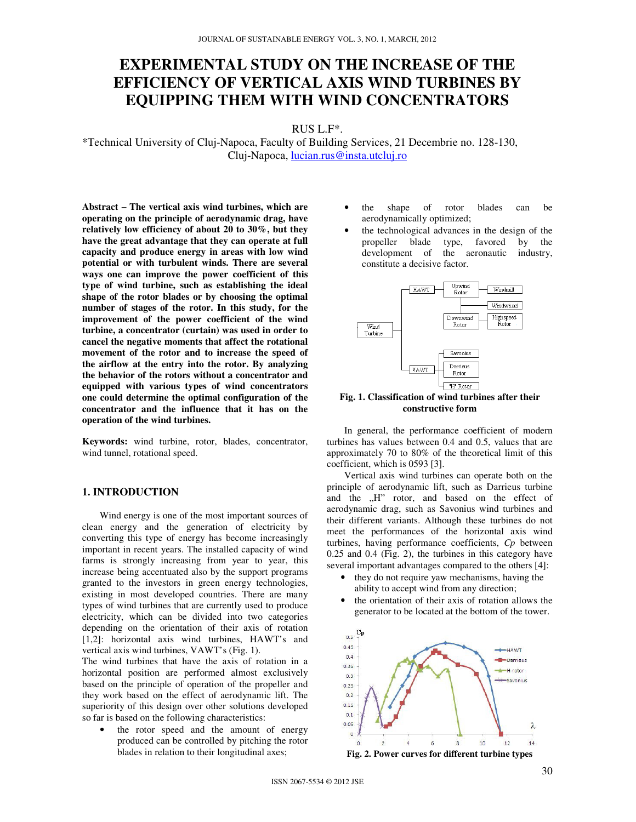# **EXPERIMENTAL STUDY ON THE INCREASE OF THE EFFICIENCY OF VERTICAL AXIS WIND TURBINES BY EQUIPPING THEM WITH WIND CONCENTRATORS**

RUS L.F\*.

\*Technical University of Cluj-Napoca, Faculty of Building Services, 21 Decembrie no. 128-130, Cluj-Napoca, lucian.rus@insta.utcluj.ro

**Abstract – The vertical axis wind turbines, which are operating on the principle of aerodynamic drag, have relatively low efficiency of about 20 to 30%, but they have the great advantage that they can operate at full capacity and produce energy in areas with low wind potential or with turbulent winds. There are several ways one can improve the power coefficient of this type of wind turbine, such as establishing the ideal shape of the rotor blades or by choosing the optimal number of stages of the rotor. In this study, for the improvement of the power coefficient of the wind turbine, a concentrator (curtain) was used in order to cancel the negative moments that affect the rotational movement of the rotor and to increase the speed of the airflow at the entry into the rotor. By analyzing the behavior of the rotors without a concentrator and equipped with various types of wind concentrators one could determine the optimal configuration of the concentrator and the influence that it has on the operation of the wind turbines.** 

**Keywords:** wind turbine, rotor, blades, concentrator, wind tunnel, rotational speed.

## **1. INTRODUCTION**

Wind energy is one of the most important sources of clean energy and the generation of electricity by converting this type of energy has become increasingly important in recent years. The installed capacity of wind farms is strongly increasing from year to year, this increase being accentuated also by the support programs granted to the investors in green energy technologies, existing in most developed countries. There are many types of wind turbines that are currently used to produce electricity, which can be divided into two categories depending on the orientation of their axis of rotation [1,2]: horizontal axis wind turbines, HAWT's and vertical axis wind turbines, VAWT's (Fig. 1).

The wind turbines that have the axis of rotation in a horizontal position are performed almost exclusively based on the principle of operation of the propeller and they work based on the effect of aerodynamic lift. The superiority of this design over other solutions developed so far is based on the following characteristics:

the rotor speed and the amount of energy produced can be controlled by pitching the rotor blades in relation to their longitudinal axes;

- the shape of rotor blades can be aerodynamically optimized;
- the technological advances in the design of the propeller blade type, favored by the development of the aeronautic industry, constitute a decisive factor.



**Fig. 1. Classification of wind turbines after their constructive form**

In general, the performance coefficient of modern turbines has values between 0.4 and 0.5, values that are approximately 70 to 80% of the theoretical limit of this coefficient, which is 0593 [3].

Vertical axis wind turbines can operate both on the principle of aerodynamic lift, such as Darrieus turbine and the "H" rotor, and based on the effect of aerodynamic drag, such as Savonius wind turbines and their different variants. Although these turbines do not meet the performances of the horizontal axis wind turbines, having performance coefficients, *Cp* between 0.25 and 0.4 (Fig. 2), the turbines in this category have several important advantages compared to the others [4]:

- they do not require yaw mechanisms, having the ability to accept wind from any direction;
- the orientation of their axis of rotation allows the generator to be located at the bottom of the tower.

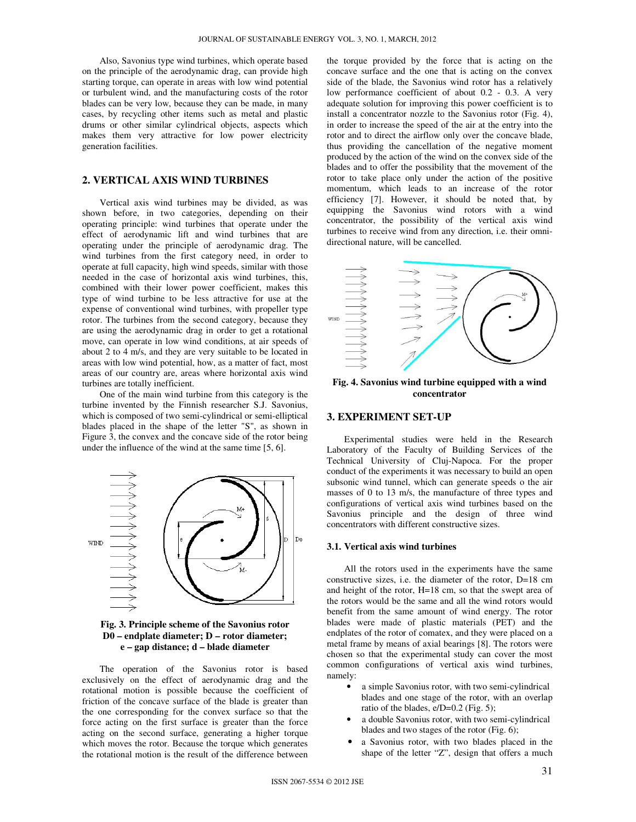Also, Savonius type wind turbines, which operate based on the principle of the aerodynamic drag, can provide high starting torque, can operate in areas with low wind potential or turbulent wind, and the manufacturing costs of the rotor blades can be very low, because they can be made, in many cases, by recycling other items such as metal and plastic drums or other similar cylindrical objects, aspects which makes them very attractive for low power electricity generation facilities.

## **2. VERTICAL AXIS WIND TURBINES**

Vertical axis wind turbines may be divided, as was shown before, in two categories, depending on their operating principle: wind turbines that operate under the effect of aerodynamic lift and wind turbines that are operating under the principle of aerodynamic drag. The wind turbines from the first category need, in order to operate at full capacity, high wind speeds, similar with those needed in the case of horizontal axis wind turbines, this, combined with their lower power coefficient, makes this type of wind turbine to be less attractive for use at the expense of conventional wind turbines, with propeller type rotor. The turbines from the second category, because they are using the aerodynamic drag in order to get a rotational move, can operate in low wind conditions, at air speeds of about 2 to 4 m/s, and they are very suitable to be located in areas with low wind potential, how, as a matter of fact, most areas of our country are, areas where horizontal axis wind turbines are totally inefficient.

One of the main wind turbine from this category is the turbine invented by the Finnish researcher S.J. Savonius, which is composed of two semi-cylindrical or semi-elliptical blades placed in the shape of the letter "S", as shown in Figure 3, the convex and the concave side of the rotor being under the influence of the wind at the same time [5, 6].



**Fig. 3. Principle scheme of the Savonius rotor D0 – endplate diameter; D – rotor diameter; e – gap distance; d – blade diameter**

The operation of the Savonius rotor is based exclusively on the effect of aerodynamic drag and the rotational motion is possible because the coefficient of friction of the concave surface of the blade is greater than the one corresponding for the convex surface so that the force acting on the first surface is greater than the force acting on the second surface, generating a higher torque which moves the rotor. Because the torque which generates the rotational motion is the result of the difference between the torque provided by the force that is acting on the concave surface and the one that is acting on the convex side of the blade, the Savonius wind rotor has a relatively low performance coefficient of about 0.2 - 0.3. A very adequate solution for improving this power coefficient is to install a concentrator nozzle to the Savonius rotor (Fig. 4), in order to increase the speed of the air at the entry into the rotor and to direct the airflow only over the concave blade, thus providing the cancellation of the negative moment produced by the action of the wind on the convex side of the blades and to offer the possibility that the movement of the rotor to take place only under the action of the positive momentum, which leads to an increase of the rotor efficiency [7]. However, it should be noted that, by equipping the Savonius wind rotors with a wind concentrator, the possibility of the vertical axis wind turbines to receive wind from any direction, i.e. their omnidirectional nature, will be cancelled.



**Fig. 4. Savonius wind turbine equipped with a wind concentrator**

## **3. EXPERIMENT SET-UP**

Experimental studies were held in the Research Laboratory of the Faculty of Building Services of the Technical University of Cluj-Napoca. For the proper conduct of the experiments it was necessary to build an open subsonic wind tunnel, which can generate speeds o the air masses of 0 to 13 m/s, the manufacture of three types and configurations of vertical axis wind turbines based on the Savonius principle and the design of three wind concentrators with different constructive sizes.

#### **3.1. Vertical axis wind turbines**

All the rotors used in the experiments have the same constructive sizes, i.e. the diameter of the rotor, D=18 cm and height of the rotor, H=18 cm, so that the swept area of the rotors would be the same and all the wind rotors would benefit from the same amount of wind energy. The rotor blades were made of plastic materials (PET) and the endplates of the rotor of comatex, and they were placed on a metal frame by means of axial bearings [8]. The rotors were chosen so that the experimental study can cover the most common configurations of vertical axis wind turbines, namely:

- a simple Savonius rotor, with two semi-cylindrical blades and one stage of the rotor, with an overlap ratio of the blades, e/D=0.2 (Fig. 5);
- a double Savonius rotor, with two semi-cylindrical blades and two stages of the rotor (Fig. 6);
- a Savonius rotor, with two blades placed in the shape of the letter "Z", design that offers a much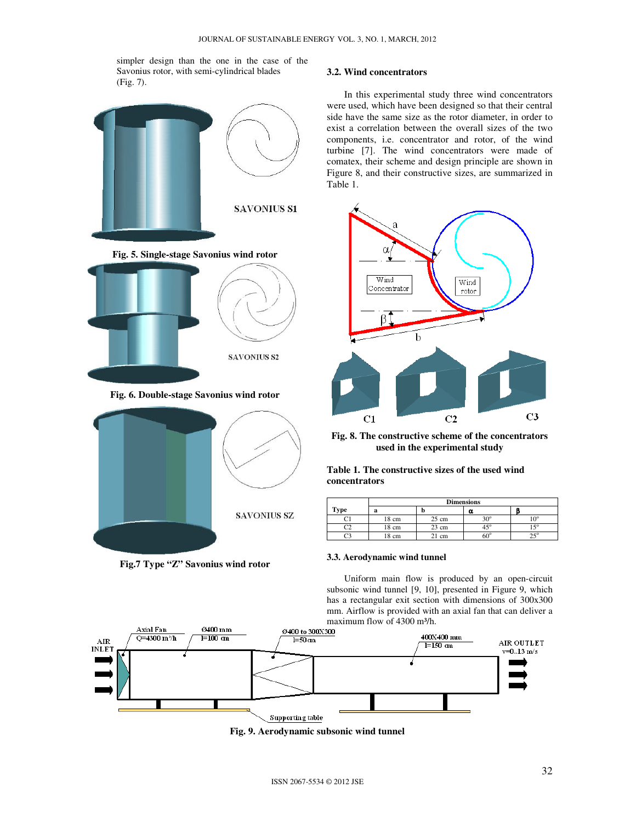simpler design than the one in the case of the Savonius rotor, with semi-cylindrical blades (Fig. 7).



**Fig.7 Type "Z" Savonius wind rotor**

### **3.2. Wind concentrators**

In this experimental study three wind concentrators were used, which have been designed so that their central side have the same size as the rotor diameter, in order to exist a correlation between the overall sizes of the two components, i.e. concentrator and rotor, of the wind turbine [7]. The wind concentrators were made of comatex, their scheme and design principle are shown in Figure 8, and their constructive sizes, are summarized in Table 1.



**Fig. 8. The constructive scheme of the concentrators used in the experimental study**

**Table 1. The constructive sizes of the used wind concentrators**

|      | <b>Dimensions</b> |                 |              |                 |
|------|-------------------|-----------------|--------------|-----------------|
| Type | a                 | IJ              | α            |                 |
|      | 18 cm             | $25 \text{ cm}$ | $20^{\circ}$ | 10 <sup>0</sup> |
|      | 18 cm             | $23 \text{ cm}$ | $45^{\circ}$ | 1.50            |
|      | 18 cm             | cm              | ≃∩⊂          |                 |

### **3.3. Aerodynamic wind tunnel**

Uniform main flow is produced by an open-circuit subsonic wind tunnel [9, 10], presented in Figure 9, which has a rectangular exit section with dimensions of 300x300 mm. Airflow is provided with an axial fan that can deliver a



**Fig. 9. Aerodynamic subsonic wind tunnel**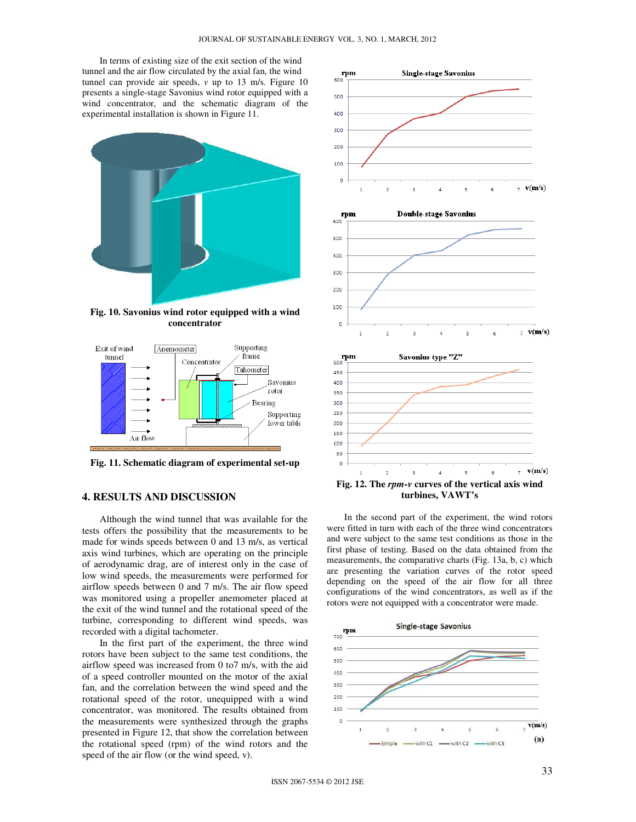In terms of existing size of the exit section of the wind tunnel and the air flow circulated by the axial fan, the wind tunnel can provide air speeds, *v* up to 13 m/s. Figure 10 presents a single-stage Savonius wind rotor equipped with a wind concentrator, and the schematic diagram of the experimental installation is shown in Figure 11.



**Fig. 10. Savonius wind rotor equipped with a wind concentrator**



**Fig. 11. Schematic diagram of experimental set-up**

## **4. RESULTS AND DISCUSSION**

Although the wind tunnel that was available for the tests offers the possibility that the measurements to be made for winds speeds between 0 and 13 m/s, as vertical axis wind turbines, which are operating on the principle of aerodynamic drag, are of interest only in the case of low wind speeds, the measurements were performed for airflow speeds between 0 and 7 m/s. The air flow speed was monitored using a propeller anemometer placed at the exit of the wind tunnel and the rotational speed of the turbine, corresponding to different wind speeds, was recorded with a digital tachometer.

In the first part of the experiment, the three wind rotors have been subject to the same test conditions, the airflow speed was increased from 0 to7 m/s, with the aid of a speed controller mounted on the motor of the axial fan, and the correlation between the wind speed and the rotational speed of the rotor, unequipped with a wind concentrator, was monitored. The results obtained from the measurements were synthesized through the graphs presented in Figure 12, that show the correlation between the rotational speed (rpm) of the wind rotors and the speed of the air flow (or the wind speed, v).



In the second part of the experiment, the wind rotors were fitted in turn with each of the three wind concentrators and were subject to the same test conditions as those in the first phase of testing. Based on the data obtained from the measurements, the comparative charts (Fig. 13a, b, c) which are presenting the variation curves of the rotor speed depending on the speed of the air flow for all three configurations of the wind concentrators, as well as if the rotors were not equipped with a concentrator were made.

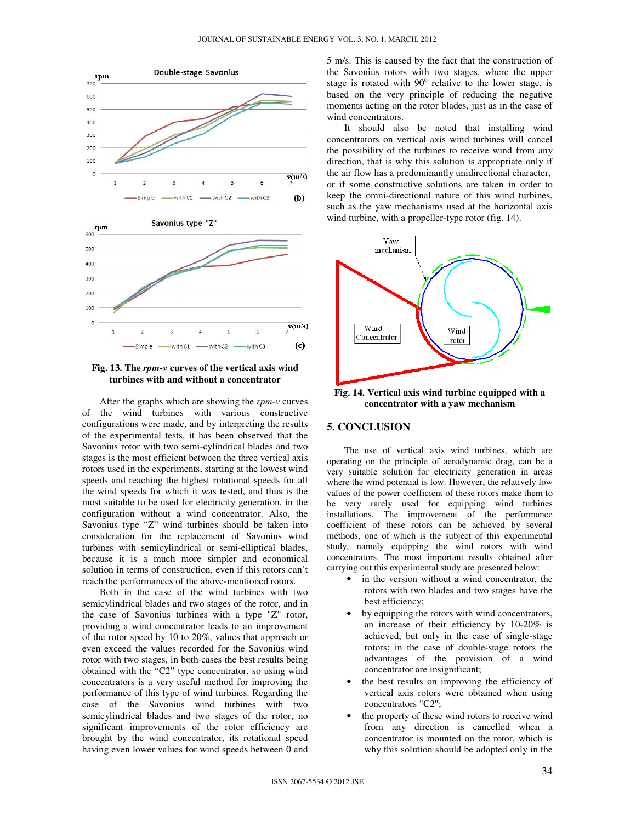





After the graphs which are showing the *rpm-v* curves of the wind turbines with various constructive configurations were made, and by interpreting the results of the experimental tests, it has been observed that the Savonius rotor with two semi-cylindrical blades and two stages is the most efficient between the three vertical axis rotors used in the experiments, starting at the lowest wind speeds and reaching the highest rotational speeds for all the wind speeds for which it was tested, and thus is the most suitable to be used for electricity generation, in the configuration without a wind concentrator. Also, the Savonius type "Z" wind turbines should be taken into consideration for the replacement of Savonius wind turbines with semicylindrical or semi-elliptical blades, because it is a much more simpler and economical solution in terms of construction, even if this rotors can't reach the performances of the above-mentioned rotors.

Both in the case of the wind turbines with two semicylindrical blades and two stages of the rotor, and in the case of Savonius turbines with a type "Z" rotor, providing a wind concentrator leads to an improvement of the rotor speed by 10 to 20%, values that approach or even exceed the values recorded for the Savonius wind rotor with two stages, in both cases the best results being obtained with the "C2" type concentrator, so using wind concentrators is a very useful method for improving the performance of this type of wind turbines. Regarding the case of the Savonius wind turbines with two semicylindrical blades and two stages of the rotor, no significant improvements of the rotor efficiency are brought by the wind concentrator, its rotational speed having even lower values for wind speeds between 0 and 5 m/s. This is caused by the fact that the construction of the Savonius rotors with two stages, where the upper stage is rotated with 90° relative to the lower stage, is based on the very principle of reducing the negative moments acting on the rotor blades, just as in the case of wind concentrators.

It should also be noted that installing wind concentrators on vertical axis wind turbines will cancel the possibility of the turbines to receive wind from any direction, that is why this solution is appropriate only if the air flow has a predominantly unidirectional character, or if some constructive solutions are taken in order to keep the omni-directional nature of this wind turbines, such as the yaw mechanisms used at the horizontal axis wind turbine, with a propeller-type rotor (fig. 14).



**Fig. 14. Vertical axis wind turbine equipped with a concentrator with a yaw mechanism** 

#### **5. CONCLUSION**

The use of vertical axis wind turbines, which are operating on the principle of aerodynamic drag, can be a very suitable solution for electricity generation in areas where the wind potential is low. However, the relatively low values of the power coefficient of these rotors make them to be very rarely used for equipping wind turbines installations. The improvement of the performance coefficient of these rotors can be achieved by several methods, one of which is the subject of this experimental study, namely equipping the wind rotors with wind concentrators. The most important results obtained after carrying out this experimental study are presented below:

- in the version without a wind concentrator, the rotors with two blades and two stages have the best efficiency;
- by equipping the rotors with wind concentrators, an increase of their efficiency by 10-20% is achieved, but only in the case of single-stage rotors; in the case of double-stage rotors the advantages of the provision of a wind concentrator are insignificant;
- the best results on improving the efficiency of vertical axis rotors were obtained when using concentrators "C2";
- the property of these wind rotors to receive wind from any direction is cancelled when a concentrator is mounted on the rotor, which is why this solution should be adopted only in the